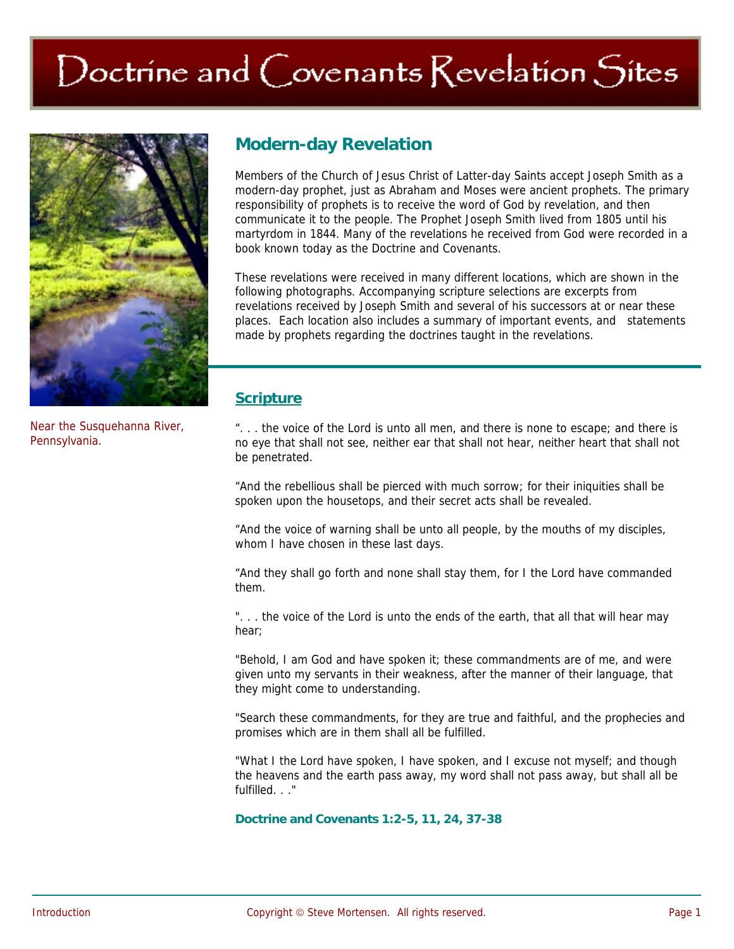# Doctrine and Covenants Revelation Sites



Near the Susquehanna River, Pennsylvania.

## **Modern-day Revelation**

Members of the Church of Jesus Christ of Latter-day Saints accept Joseph Smith as a modern-day prophet, just as Abraham and Moses were ancient prophets. The primary responsibility of prophets is to receive the word of God by revelation, and then communicate it to the people. The Prophet Joseph Smith lived from 1805 until his martyrdom in 1844. Many of the revelations he received from God were recorded in a book known today as the Doctrine and Covenants.

These revelations were received in many different locations, which are shown in the following photographs. Accompanying scripture selections are excerpts from revelations received by Joseph Smith and several of his successors at or near these places. Each location also includes a summary of important events, and statements made by prophets regarding the doctrines taught in the revelations.

#### **Scripture**

". . . the voice of the Lord is unto all men, and there is none to escape; and there is no eye that shall not see, neither ear that shall not hear, neither heart that shall not be penetrated.

"And the rebellious shall be pierced with much sorrow; for their iniquities shall be spoken upon the housetops, and their secret acts shall be revealed.

"And the voice of warning shall be unto all people, by the mouths of my disciples, whom I have chosen in these last days.

"And they shall go forth and none shall stay them, for I the Lord have commanded them.

". . . the voice of the Lord is unto the ends of the earth, that all that will hear may hear;

"Behold, I am God and have spoken it; these commandments are of me, and were given unto my servants in their weakness, after the manner of their language, that they might come to understanding.

"Search these commandments, for they are true and faithful, and the prophecies and promises which are in them shall all be fulfilled.

"What I the Lord have spoken, I have spoken, and I excuse not myself; and though the heavens and the earth pass away, my word shall not pass away, but shall all be fulfilled. . ."

**Doctrine and Covenants 1:2-5, 11, 24, 37-38**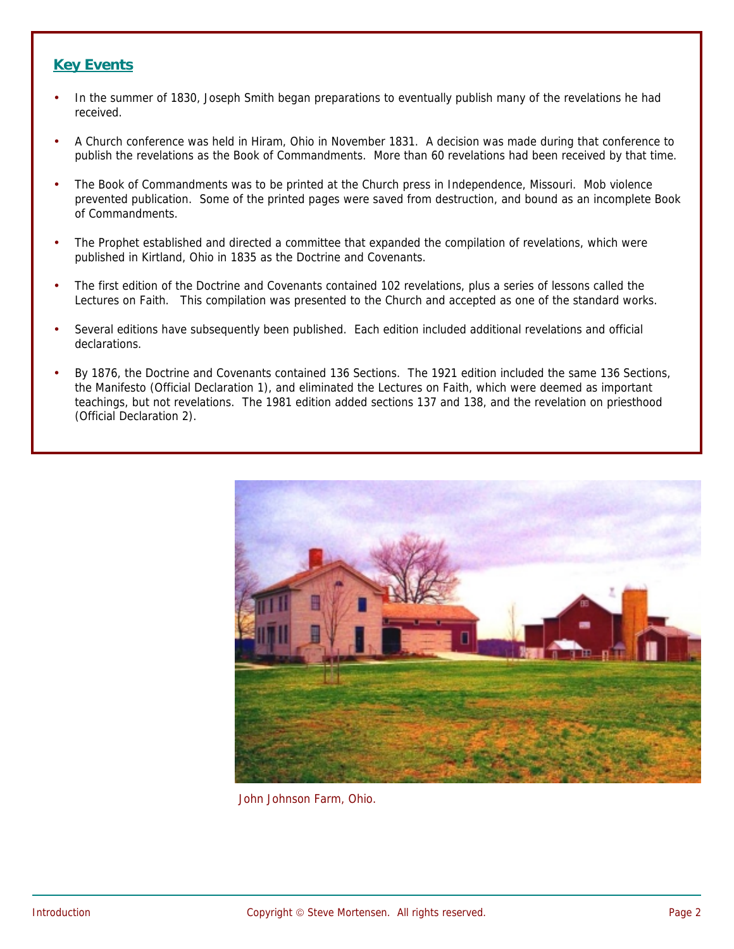## **Key Events**

- In the summer of 1830, Joseph Smith began preparations to eventually publish many of the revelations he had received.
- A Church conference was held in Hiram, Ohio in November 1831. A decision was made during that conference to publish the revelations as the Book of Commandments. More than 60 revelations had been received by that time.
- The Book of Commandments was to be printed at the Church press in Independence, Missouri. Mob violence prevented publication. Some of the printed pages were saved from destruction, and bound as an incomplete Book of Commandments.
- The Prophet established and directed a committee that expanded the compilation of revelations, which were published in Kirtland, Ohio in 1835 as the Doctrine and Covenants.
- The first edition of the Doctrine and Covenants contained 102 revelations, plus a series of lessons called the Lectures on Faith. This compilation was presented to the Church and accepted as one of the standard works.
- Several editions have subsequently been published. Each edition included additional revelations and official declarations.
- By 1876, the Doctrine and Covenants contained 136 Sections. The 1921 edition included the same 136 Sections, the Manifesto (Official Declaration 1), and eliminated the Lectures on Faith, which were deemed as important teachings, but not revelations. The 1981 edition added sections 137 and 138, and the revelation on priesthood (Official Declaration 2).



John Johnson Farm, Ohio.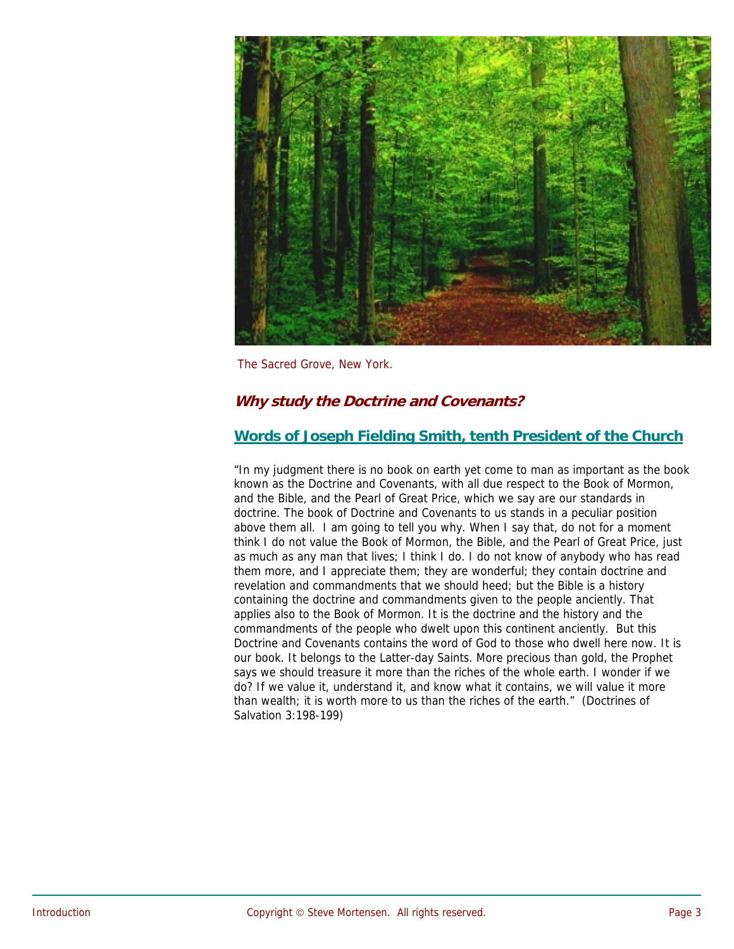

The Sacred Grove, New York.

## **Why study the Doctrine and Covenants?**

## **Words of Joseph Fielding Smith, tenth President of the Church**

"In my judgment there is no book on earth yet come to man as important as the book known as the Doctrine and Covenants, with all due respect to the Book of Mormon, and the Bible, and the Pearl of Great Price, which we say are our standards in doctrine. The book of Doctrine and Covenants to us stands in a peculiar position above them all. I am going to tell you why. When I say that, do not for a moment think I do not value the Book of Mormon, the Bible, and the Pearl of Great Price, just as much as any man that lives; I think I do. I do not know of anybody who has read them more, and I appreciate them; they are wonderful; they contain doctrine and revelation and commandments that we should heed; but the Bible is a history containing the doctrine and commandments given to the people anciently. That applies also to the Book of Mormon. It is the doctrine and the history and the commandments of the people who dwelt upon this continent anciently. But this Doctrine and Covenants contains the word of God to those who dwell here now. It is our book. It belongs to the Latter-day Saints. More precious than gold, the Prophet says we should treasure it more than the riches of the whole earth. I wonder if we do? If we value it, understand it, and know what it contains, we will value it more than wealth; it is worth more to us than the riches of the earth." (Doctrines of Salvation 3:198-199)